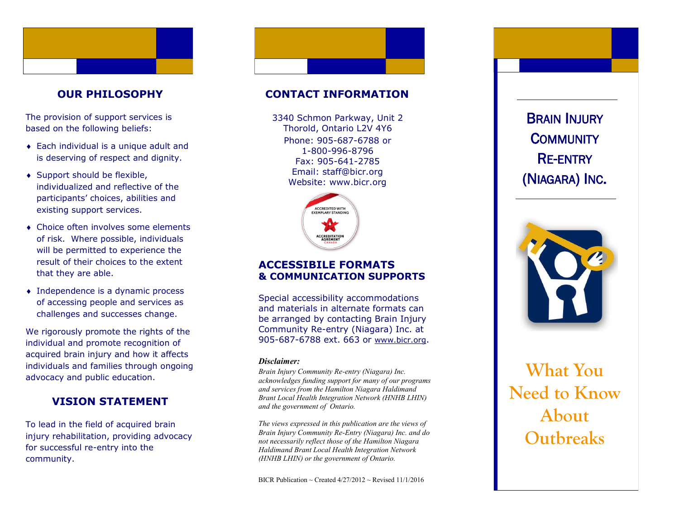# **OUR PHILOSOPHY**

The provision of support services is based on the following beliefs:

- Each individual is a unique adult and is deserving of respect and dignity.
- ◆ Support should be flexible, individualized and reflective of the participants' choices, abilities and existing support services.
- Choice often involves some elements of risk. Where possible, individuals will be permitted to experience the result of their choices to the extent that they are able.
- Independence is a dynamic process of accessing people and services as challenges and successes change.

We rigorously promote the rights of the individual and promote recognition of acquired brain injury and how it affects individuals and families through ongoing advocacy and public education.

# **VISION STATEMENT**

To lead in the field of acquired brain injury rehabilitation, providing advocacy for successful re -entry into the community.

### **CONTACT INFORMATION**

Phone: 905 -687 -6788 or 1 -800 -996 -8796 Fax: 905 -641 -2785 Email: staff@bicr.org Website: www.bicr.org 3340 Schmon Parkway, Unit 2 Thorold, Ontario L2V 4Y6



### **ACCESSIBILE FORMATS & COMMUNICATION SUPPORTS**

Special accessibility accommodations and materials in alternate formats can be arranged by contacting Brain Injury Community Re -entry (Niagara) Inc. at 905-687-6788 ext. 663 or [www.bicr.org](http://www.bicr.org).

#### *Disclaimer:*

*Brain Injury Community Re -entry (Niagara) Inc. acknowledges funding support for many of our programs and services from the Hamilton Niagara Haldimand Brant Local Health Integration Network (HNHB LHIN) and the government of Ontario.* 

*The views expressed in this publication are the views of Brain Injury Community Re -Entry (Niagara) Inc. and do not necessarily reflect those of the Hamilton Niagara Haldimand Brant Local Health Integration Network (HNHB LHIN) or the government of Ontario.* 

BICR Publication ~ Created  $4/27/2012$  ~ Revised  $11/1/2016$ 

(NIAGARA) INC .



# **What You Need to Know About**